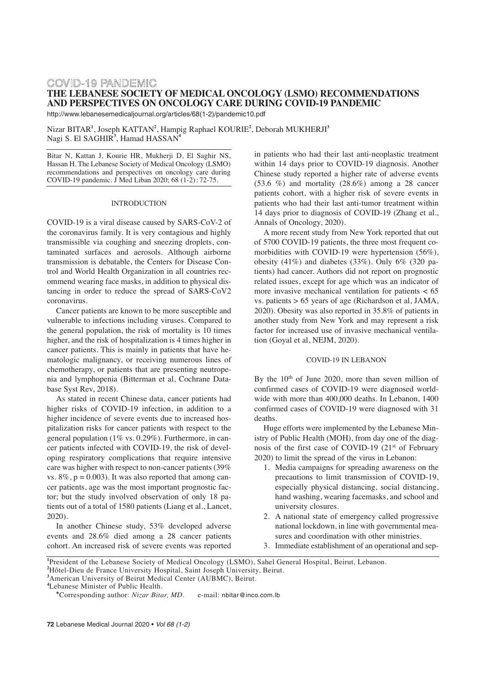# COVID-19 PANDEMIC **THE LEBANESE SOCIETY OF MEDICAL ONCOLOGY (LSMO) RECOMMENDATIONS AND PERSPECTIVES ON ONCOLOGY CARE DURING COVID-19 PANDEMIC**

http://www.lebanesemedicaljournal.org/articles/68(1-2)/pandemic10.pdf

Nizar BITAR**<sup>1</sup>** , Joseph KATTAN**<sup>2</sup>** , Hampig Raphael KOURIE**<sup>2</sup>** , Deborah MUKHERJI**<sup>3</sup>** Nagi S. El SAGHIR**<sup>3</sup>** , Hamad HASSAN**<sup>4</sup>**

Bitar N, Kattan J, Kourie HR, Mukherji D, El Saghir NS, Hassan H. The Lebanese Society of Medical Oncology (LSMO) recommendations and perspectives on oncology care during COVID-19 pandemic. J Med Liban 2020; 68 (1-2) : 72-75.

#### INTRODUCTION

COVID-19 is a viral disease caused by SARS-CoV-2 of the coronavirus family. It is very contagious and highly transmissible via coughing and sneezing droplets, contaminated surfaces and aerosols. Although airborne transmission is debatable, the Centers for Disease Control and World Health Organization in all countries recommend wearing face masks, in addition to physical distancing in order to reduce the spread of SARS-CoV2 coronavirus.

Cancer patients are known to be more susceptible and vulnerable to infections including viruses. Compared to the general population, the risk of mortality is 10 times higher, and the risk of hospitalization is 4 times higher in cancer patients. This is mainly in patients that have hematologic malignancy, or receiving numerous lines of chemotherapy, or patients that are presenting neutropenia and lymphopenia (Bitterman et al, Cochrane Database Syst Rev, 2018).

As stated in recent Chinese data, cancer patients had higher risks of COVID-19 infection, in addition to a higher incidence of severe events due to increased hospitalization risks for cancer patients with respect to the general population (1% vs. 0.29%). Furthermore, in cancer patients infected with COVID-19, the risk of developing respiratory complications that require intensive care was higher with respect to non-cancer patients (39% vs.  $8\%, p = 0.003$ ). It was also reported that among cancer patients, age was the most important prognostic factor; but the study involved observation of only 18 patients out of a total of 1580 patients (Liang et al., Lancet, 2020).

In another Chinese study, 53% developed adverse events and 28.6% died among a 28 cancer patients cohort. An increased risk of severe events was reported in patients who had their last anti-neoplastic treatment within 14 days prior to COVID-19 diagnosis. Another Chinese study reported a higher rate of adverse events  $(53.6 \%)$  and mortality  $(28.6\%)$  among a 28 cancer patients cohort, with a higher risk of severe events in patients who had their last anti-tumor treatment within 14 days prior to diagnosis of COVID-19 (Zhang et al., Annals of Oncology, 2020).

A more recent study from New York reported that out of 5700 COVID-19 patients, the three most frequent comorbidities with COVID-19 were hypertension (56%), obesity  $(41\%)$  and diabetes  $(33\%)$ . Only  $6\%$   $(320 \text{ pa}$ tients) had cancer. Authors did not report on prognostic related issues, except for age which was an indicator of more invasive mechanical ventilation for patients  $\lt 65$ vs. patients > 65 years of age (Richardson et al, JAMA, 2020). Obesity was also reported in 35.8% of patients in another study from New York and may represent a risk factor for increased use of invasive mechanical ventilation (Goyal et al, NEJM, 2020).

#### COVID-19 IN LEBANON

By the 10th of June 2020, more than seven million of confirmed cases of COVID-19 were diagnosed worldwide with more than 400,000 deaths. In Lebanon, 1400 confirmed cases of COVID-19 were diagnosed with 31 deaths.

Huge efforts were implemented by the Lebanese Ministry of Public Health (MOH), from day one of the diagnosis of the first case of COVID-19 (21st of February 2020) to limit the spread of the virus in Lebanon:

- 1. Media campaigns for spreading awareness on the precautions to limit transmission of COVID-19, especially physical distancing, social distancing, hand washing, wearing facemasks, and school and university closures.
- 2. A national state of emergency called progressive national lockdown, in line with governmental measures and coordination with other ministries.
- 3. Immediate establishment of an operational and sep-

**1** President of the Lebanese Society of Medical Oncology (LSMO), Sahel General Hospital, Beirut, Lebanon. **2** Hôtel-Dieu de France University Hospital, Saint Joseph University, Beirut.

**3** American University of Beirut Medical Center (AUBMC), Beirut.

**<sup>4</sup>** Lebanese Minister of Public Health.

**<sup>\*</sup>**Corresponding author: *Nizar Bitar, MD.* e-mail: nbitar@inco.com.lb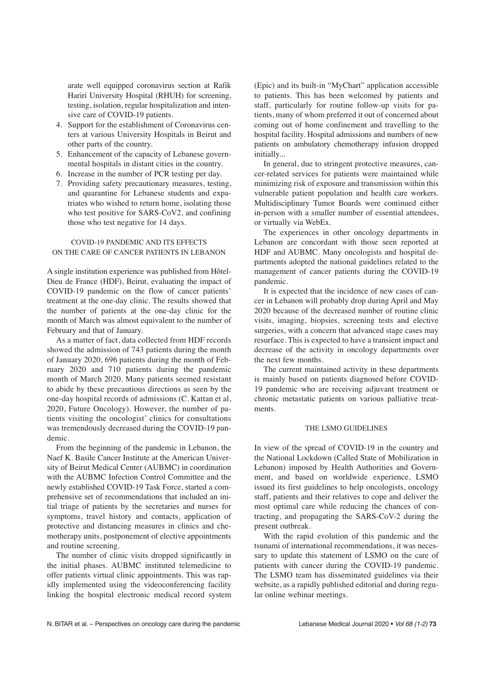arate well equipped coronavirus section at Rafik Hariri University Hospital (RHUH) for screening, testing, isolation, regular hospitalization and intensive care of COVID-19 patients.

- 4. Support for the establishment of Coronavirus centers at various University Hospitals in Beirut and other parts of the country.
- 5. Enhancement of the capacity of Lebanese governmental hospitals in distant cities in the country.
- 6. Increase in the number of PCR testing per day.
- 7. Providing safety precautionary measures, testing, and quarantine for Lebanese students and expatriates who wished to return home, isolating those who test positive for SARS-CoV2, and confining those who test negative for 14 days.

#### COVID-19 PANDEMIC AND ITS EFFECTS ON THE CARE OF CANCER PATIENTS IN LEBANON

A single institution experience was published from Hôtel-Dieu de France (HDF), Beirut, evaluating the impact of COVID-19 pandemic on the flow of cancer patients' treatment at the one-day clinic. The results showed that the number of patients at the one-day clinic for the month of March was almost equivalent to the number of February and that of January.

As a matter of fact, data collected from HDF records showed the admission of 743 patients during the month of January 2020, 696 patients during the month of February 2020 and 710 patients during the pandemic month of March 2020. Many patients seemed resistant to abide by these precautious directions as seen by the one-day hospital records of admissions (C. Kattan et al, 2020, Future Oncology). However, the number of patients visiting the oncologist' clinics for consultations was tremendously decreased during the COVID-19 pandemic.

From the beginning of the pandemic in Lebanon, the Naef K. Basile Cancer Institute at the American University of Beirut Medical Center (AUBMC) in coordination with the AUBMC Infection Control Committee and the newly established COVID-19 Task Force, started a comprehensive set of recommendations that included an initial triage of patients by the secretaries and nurses for symptoms, travel history and contacts, application of protective and distancing measures in clinics and chemotherapy units, postponement of elective appointments and routine screening.

The number of clinic visits dropped significantly in the initial phases. AUBMC instituted telemedicine to offer patients virtual clinic appointments. This was rapidly implemented using the videoconferencing facility linking the hospital electronic medical record system (Epic) and its built-in "MyChart" application accessible to patients. This has been welcomed by patients and staff, particularly for routine follow-up visits for patients, many of whom preferred it out of concerned about coming out of home confinement and travelling to the hospital facility. Hospital admissions and numbers of new patients on ambulatory chemotherapy infusion dropped initially...

In general, due to stringent protective measures, cancer-related services for patients were maintained while minimizing risk of exposure and transmission within this vulnerable patient population and health care workers. Multidisciplinary Tumor Boards were continued either in-person with a smaller number of essential attendees, or virtually via WebEx.

The experiences in other oncology departments in Lebanon are concordant with those seen reported at HDF and AUBMC. Many oncologists and hospital departments adopted the national guidelines related to the management of cancer patients during the COVID-19 pandemic.

It is expected that the incidence of new cases of cancer in Lebanon will probably drop during April and May 2020 because of the decreased number of routine clinic visits, imaging, biopsies, screening tests and elective surgeries, with a concern that advanced stage cases may resurface. This is expected to have a transient impact and decrease of the activity in oncology departments over the next few months.

The current maintained activity in these departments is mainly based on patients diagnosed before COVID-19 pandemic who are receiving adjuvant treatment or chronic metastatic patients on various palliative treatments.

#### THE LSMO GUIDELINES

In view of the spread of COVID-19 in the country and the National Lockdown (Called State of Mobilization in Lebanon) imposed by Health Authorities and Government, and based on worldwide experience, LSMO issued its first guidelines to help oncologists, oncology staff, patients and their relatives to cope and deliver the most optimal care while reducing the chances of contracting, and propagating the SARS-CoV-2 during the present outbreak.

With the rapid evolution of this pandemic and the tsunami of international recommendations, it was necessary to update this statement of LSMO on the care of patients with cancer during the COVID-19 pandemic. The LSMO team has disseminated guidelines via their website, as a rapidly published editorial and during regular online webinar meetings.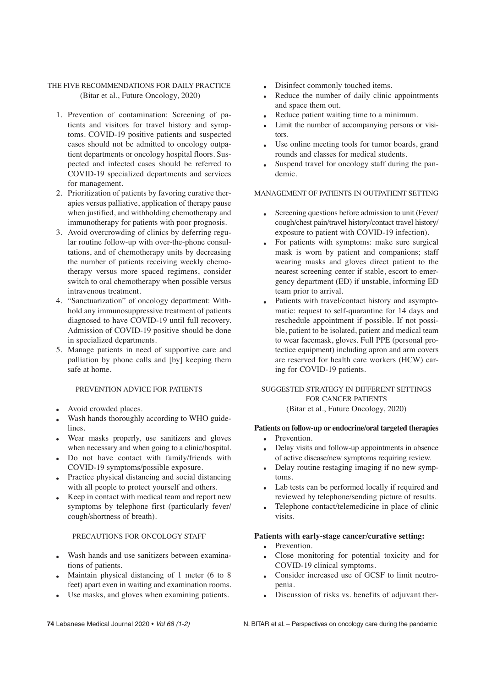# THE FIVE RECOMMENDATIONS FOR DAILY PRACTICE (Bitar et al., Future Oncology, 2020)

- 1. Prevention of contamination: Screening of patients and visitors for travel history and symptoms. COVID-19 positive patients and suspected cases should not be admitted to oncology outpatient departments or oncology hospital floors. Suspected and infected cases should be referred to COVID-19 specialized departments and services for management.
- 2. Prioritization of patients by favoring curative therapies versus palliative, application of therapy pause when justified, and withholding chemotherapy and immunotherapy for patients with poor prognosis.
- 3. Avoid overcrowding of clinics by deferring regular routine follow-up with over-the-phone consultations, and of chemotherapy units by decreasing the number of patients receiving weekly chemotherapy versus more spaced regimens, consider switch to oral chemotherapy when possible versus intravenous treatment.
- 4. "Sanctuarization" of oncology department: Withhold any immunosuppressive treatment of patients diagnosed to have COVID-19 until full recovery. Admission of COVID-19 positive should be done in specialized departments.
- 5. Manage patients in need of supportive care and palliation by phone calls and [by] keeping them safe at home.

#### PREVENTION ADVICE FOR PATIENTS

- Avoid crowded places.
- Wash hands thoroughly according to WHO guidelines.
- Wear masks properly, use sanitizers and gloves when necessary and when going to a clinic/hospital.
- Do not have contact with family/friends with COVID-19 symptoms/possible exposure.
- Practice physical distancing and social distancing with all people to protect yourself and others.
- Keep in contact with medical team and report new symptoms by telephone first (particularly fever/ cough/shortness of breath).

## PRECAUTIONS FOR ONCOLOGY STAFF

- Wash hands and use sanitizers between examinations of patients.
- Maintain physical distancing of 1 meter (6 to 8) feet) apart even in waiting and examination rooms.
- Use masks, and gloves when examining patients.
- Disinfect commonly touched items.
- Reduce the number of daily clinic appointments and space them out.
- Reduce patient waiting time to a minimum.
- Limit the number of accompanying persons or visitors.
- Use online meeting tools for tumor boards, grand rounds and classes for medical students.
- Suspend travel for oncology staff during the pandemic.

## MANAGEMENT OF PATIENTS IN OUTPATIENT SETTING

- Screening questions before admission to unit (Fever/ cough/chest pain/travel history/contact travel history/ exposure to patient with COVID-19 infection).
- For patients with symptoms: make sure surgical mask is worn by patient and companions; staff wearing masks and gloves direct patient to the nearest screening center if stable, escort to emergency department (ED) if unstable, informing ED team prior to arrival.
- Patients with travel/contact history and asymptomatic: request to self-quarantine for 14 days and reschedule appointment if possible. If not possible, patient to be isolated, patient and medical team to wear facemask, gloves. Full PPE (personal protectice equipment) including apron and arm covers are reserved for health care workers (HCW) caring for COVID-19 patients.

## SUGGESTED STRATEGY IN DIFFERENT SETTINGS FOR CANCER PATIENTS (Bitar et al., Future Oncology, 2020)

### **Patients on follow-up or endocrine/oral targeted therapies** • Prevention.

- Delay visits and follow-up appointments in absence of active disease/new symptoms requiring review.
- Delay routine restaging imaging if no new symptoms.
- Lab tests can be performed locally if required and reviewed by telephone/sending picture of results.
- Telephone contact/telemedicine in place of clinic visits.

#### **Patients with early-stage cancer/curative setting:**

- Prevention.
- Close monitoring for potential toxicity and for COVID-19 clinical symptoms.
- Consider increased use of GCSF to limit neutropenia.
- Discussion of risks vs. benefits of adjuvant ther-